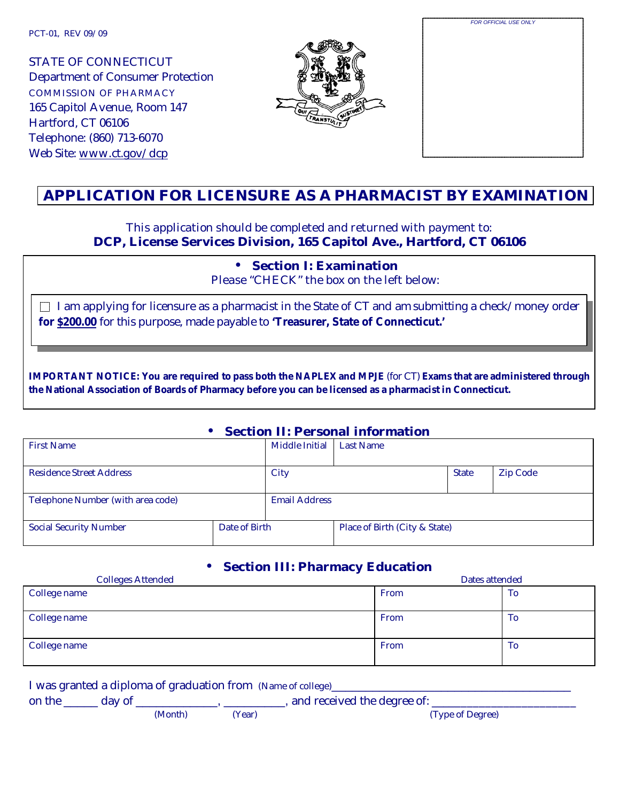PCT-01, REV 09/09

STATE OF CONNECTICUT Department of Consumer Protection COMMISSION OF PHARMACY 165 Capitol Avenue, Room 147 Hartford, CT 06106 Telephone: (860) 713-6070 Web Site: www.ct.gov/dcp



| FOR OFFICIAL USE ONLY |  |
|-----------------------|--|
|                       |  |
|                       |  |
|                       |  |
|                       |  |
|                       |  |
|                       |  |
|                       |  |
|                       |  |
|                       |  |
|                       |  |
|                       |  |
|                       |  |
|                       |  |
|                       |  |
|                       |  |
|                       |  |
|                       |  |
|                       |  |
|                       |  |
|                       |  |
|                       |  |
|                       |  |

# **APPLICATION FOR LICENSURE AS A PHARMACIST BY EXAMINATION**

#### This application should be completed and returned with payment to: **DCP, License Services Division, 165 Capitol Ave., Hartford, CT 06106**

• **Section I: Examination**

Please "CHECK" the box on the left below:

 $\Box$  I am applying for licensure as a pharmacist in the State of CT and am submitting a check/money order **for \$200.00** for this purpose, made payable to **'Treasurer, State of Connecticut.'**

**IMPORTANT NOTICE: You are required to pass both the NAPLEX and MPJE** (for CT) **Exams that are administered through the National Association of Boards of Pharmacy before you can be licensed as a pharmacist in Connecticut.**

#### • **Section II: Personal information**

| <b>First Name</b>                 |               | <b>Middle Initial</b> | <b>Last Name</b>              |              |                 |
|-----------------------------------|---------------|-----------------------|-------------------------------|--------------|-----------------|
|                                   |               |                       |                               |              |                 |
| <b>Residence Street Address</b>   |               | City                  |                               | <b>State</b> | <b>Zip Code</b> |
|                                   |               |                       |                               |              |                 |
| Telephone Number (with area code) |               | <b>Email Address</b>  |                               |              |                 |
|                                   |               |                       |                               |              |                 |
| <b>Social Security Number</b>     | Date of Birth |                       | Place of Birth (City & State) |              |                 |
|                                   |               |                       |                               |              |                 |

## • **Section III: Pharmacy Education**

| <b>Colleges Attended</b> | $\sim$<br>Dates attended |    |  |
|--------------------------|--------------------------|----|--|
| College name             | From                     | To |  |
| College name             | From                     | To |  |
| College name             | From                     | To |  |

|        |        |         |        | I was granted a diploma of graduation from (Name of college) |
|--------|--------|---------|--------|--------------------------------------------------------------|
| on the | day of |         |        | , and received the degree of:                                |
|        |        | (Month) | (Year) | (Type of Degree)                                             |